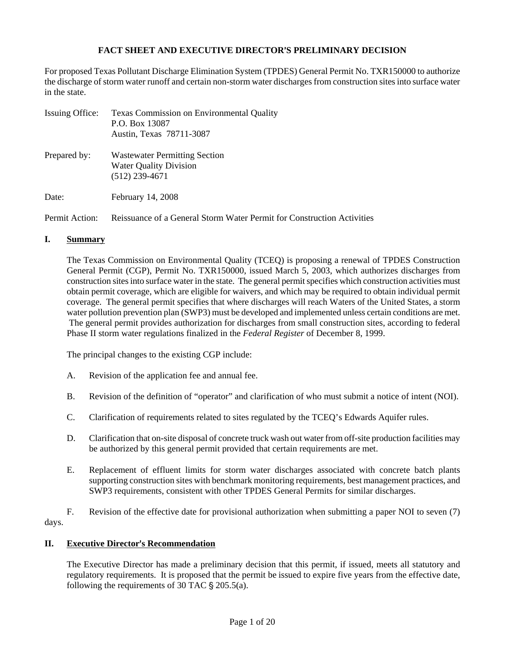# **FACT SHEET AND EXECUTIVE DIRECTOR**=**S PRELIMINARY DECISION**

For proposed Texas Pollutant Discharge Elimination System (TPDES) General Permit No. TXR150000 to authorize the discharge of storm water runoff and certain non-storm water discharges from construction sites into surface water in the state.

| Issuing Office: | <b>Texas Commission on Environmental Quality</b><br>P.O. Box 13087<br>Austin, Texas 78711-3087 |  |  |  |  |  |  |  |  |
|-----------------|------------------------------------------------------------------------------------------------|--|--|--|--|--|--|--|--|
| Prepared by:    | <b>Wastewater Permitting Section</b><br><b>Water Quality Division</b><br>$(512)$ 239-4671      |  |  |  |  |  |  |  |  |
| Date:           | February 14, 2008                                                                              |  |  |  |  |  |  |  |  |
| Permit Action:  | Reissuance of a General Storm Water Permit for Construction Activities                         |  |  |  |  |  |  |  |  |

#### **I. Summary**

The Texas Commission on Environmental Quality (TCEQ) is proposing a renewal of TPDES Construction General Permit (CGP), Permit No. TXR150000, issued March 5, 2003, which authorizes discharges from construction sites into surface water in the state. The general permit specifies which construction activities must obtain permit coverage, which are eligible for waivers, and which may be required to obtain individual permit coverage. The general permit specifies that where discharges will reach Waters of the United States, a storm water pollution prevention plan (SWP3) must be developed and implemented unless certain conditions are met. The general permit provides authorization for discharges from small construction sites, according to federal Phase II storm water regulations finalized in the *Federal Register* of December 8, 1999.

The principal changes to the existing CGP include:

- A. Revision of the application fee and annual fee.
- B. Revision of the definition of "operator" and clarification of who must submit a notice of intent (NOI).
- C. Clarification of requirements related to sites regulated by the TCEQ's Edwards Aquifer rules.
- D. Clarification that on-site disposal of concrete truck wash out water from off-site production facilities may be authorized by this general permit provided that certain requirements are met.
- E. Replacement of effluent limits for storm water discharges associated with concrete batch plants supporting construction sites with benchmark monitoring requirements, best management practices, and SWP3 requirements, consistent with other TPDES General Permits for similar discharges.

 F. Revision of the effective date for provisional authorization when submitting a paper NOI to seven (7) days.

### **II.** Executive Director's Recommendation

The Executive Director has made a preliminary decision that this permit, if issued, meets all statutory and regulatory requirements. It is proposed that the permit be issued to expire five years from the effective date, following the requirements of 30 TAC  $\S 205.5(a)$ .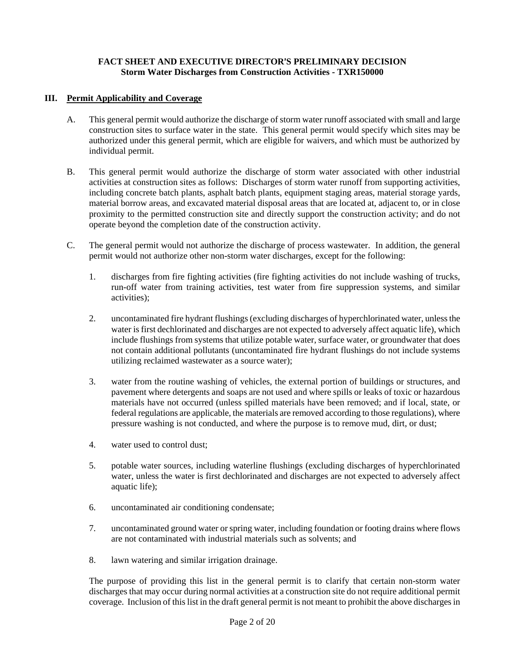### **III. Permit Applicability and Coverage**

- A. This general permit would authorize the discharge of storm water runoff associated with small and large construction sites to surface water in the state. This general permit would specify which sites may be authorized under this general permit, which are eligible for waivers, and which must be authorized by individual permit.
- B. This general permit would authorize the discharge of storm water associated with other industrial activities at construction sites as follows: Discharges of storm water runoff from supporting activities, including concrete batch plants, asphalt batch plants, equipment staging areas, material storage yards, material borrow areas, and excavated material disposal areas that are located at, adjacent to, or in close proximity to the permitted construction site and directly support the construction activity; and do not operate beyond the completion date of the construction activity.
- C. The general permit would not authorize the discharge of process wastewater. In addition, the general permit would not authorize other non-storm water discharges, except for the following:
	- 1. discharges from fire fighting activities (fire fighting activities do not include washing of trucks, run-off water from training activities, test water from fire suppression systems, and similar activities);
	- 2. uncontaminated fire hydrant flushings (excluding discharges of hyperchlorinated water, unless the water is first dechlorinated and discharges are not expected to adversely affect aquatic life), which include flushings from systems that utilize potable water, surface water, or groundwater that does not contain additional pollutants (uncontaminated fire hydrant flushings do not include systems utilizing reclaimed wastewater as a source water);
	- 3. water from the routine washing of vehicles, the external portion of buildings or structures, and pavement where detergents and soaps are not used and where spills or leaks of toxic or hazardous materials have not occurred (unless spilled materials have been removed; and if local, state, or federal regulations are applicable, the materials are removed according to those regulations), where pressure washing is not conducted, and where the purpose is to remove mud, dirt, or dust;
	- 4. water used to control dust;
	- 5. potable water sources, including waterline flushings (excluding discharges of hyperchlorinated water, unless the water is first dechlorinated and discharges are not expected to adversely affect aquatic life);
	- 6. uncontaminated air conditioning condensate;
	- 7. uncontaminated ground water or spring water, including foundation or footing drains where flows are not contaminated with industrial materials such as solvents; and
	- 8. lawn watering and similar irrigation drainage.

The purpose of providing this list in the general permit is to clarify that certain non-storm water discharges that may occur during normal activities at a construction site do not require additional permit coverage. Inclusion of this list in the draft general permit is not meant to prohibit the above discharges in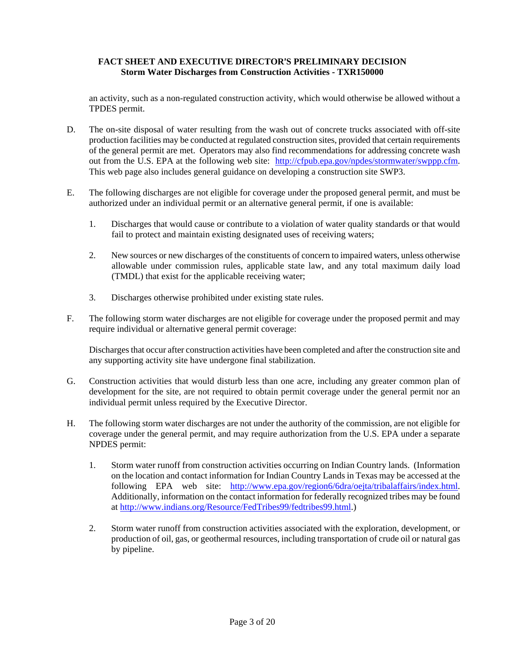an activity, such as a non-regulated construction activity, which would otherwise be allowed without a TPDES permit.

- D. The on-site disposal of water resulting from the wash out of concrete trucks associated with off-site production facilities may be conducted at regulated construction sites, provided that certain requirements of the general permit are met. Operators may also find recommendations for addressing concrete wash out from the U.S. EPA at the following web site: http://cfpub.epa.gov/npdes/stormwater/swppp.cfm. This web page also includes general guidance on developing a construction site SWP3.
- E. The following discharges are not eligible for coverage under the proposed general permit, and must be authorized under an individual permit or an alternative general permit, if one is available:
	- 1. Discharges that would cause or contribute to a violation of water quality standards or that would fail to protect and maintain existing designated uses of receiving waters;
	- 2. New sources or new discharges of the constituents of concern to impaired waters, unless otherwise allowable under commission rules, applicable state law, and any total maximum daily load (TMDL) that exist for the applicable receiving water;
	- 3. Discharges otherwise prohibited under existing state rules.
- F. The following storm water discharges are not eligible for coverage under the proposed permit and may require individual or alternative general permit coverage:

Discharges that occur after construction activities have been completed and after the construction site and any supporting activity site have undergone final stabilization.

- G. Construction activities that would disturb less than one acre, including any greater common plan of development for the site, are not required to obtain permit coverage under the general permit nor an individual permit unless required by the Executive Director.
- H. The following storm water discharges are not under the authority of the commission, are not eligible for coverage under the general permit, and may require authorization from the U.S. EPA under a separate NPDES permit:
	- 1. Storm water runoff from construction activities occurring on Indian Country lands. (Information on the location and contact information for Indian Country Lands in Texas may be accessed at the following EPA web site: http://www.epa.gov/region6/6dra/oejta/tribalaffairs/index.html. Additionally, information on the contact information for federally recognized tribes may be found at http://www.indians.org/Resource/FedTribes99/fedtribes99.html.)
	- 2. Storm water runoff from construction activities associated with the exploration, development, or production of oil, gas, or geothermal resources, including transportation of crude oil or natural gas by pipeline.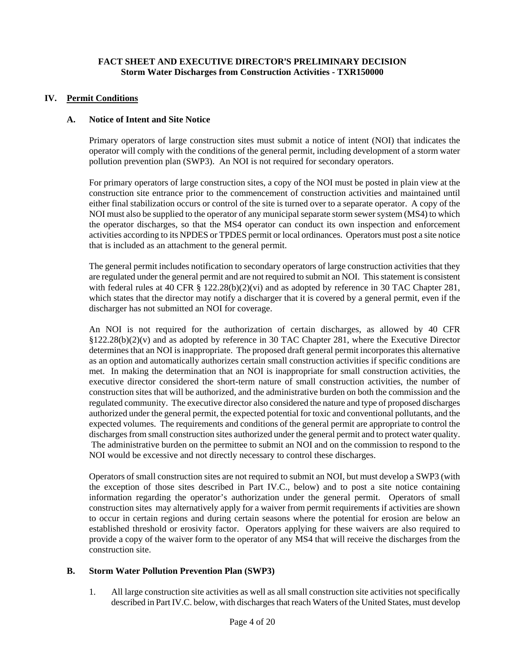### **IV. Permit Conditions**

#### **A. Notice of Intent and Site Notice**

Primary operators of large construction sites must submit a notice of intent (NOI) that indicates the operator will comply with the conditions of the general permit, including development of a storm water pollution prevention plan (SWP3). An NOI is not required for secondary operators.

For primary operators of large construction sites, a copy of the NOI must be posted in plain view at the construction site entrance prior to the commencement of construction activities and maintained until either final stabilization occurs or control of the site is turned over to a separate operator. A copy of the NOI must also be supplied to the operator of any municipal separate storm sewer system (MS4) to which the operator discharges, so that the MS4 operator can conduct its own inspection and enforcement activities according to its NPDES or TPDES permit or local ordinances. Operators must post a site notice that is included as an attachment to the general permit.

The general permit includes notification to secondary operators of large construction activities that they are regulated under the general permit and are not required to submit an NOI. This statement is consistent with federal rules at 40 CFR § 122.28(b)(2)(vi) and as adopted by reference in 30 TAC Chapter 281, which states that the director may notify a discharger that it is covered by a general permit, even if the discharger has not submitted an NOI for coverage.

An NOI is not required for the authorization of certain discharges, as allowed by 40 CFR §122.28(b)(2)(v) and as adopted by reference in 30 TAC Chapter 281, where the Executive Director determines that an NOI is inappropriate. The proposed draft general permit incorporates this alternative as an option and automatically authorizes certain small construction activities if specific conditions are met. In making the determination that an NOI is inappropriate for small construction activities, the executive director considered the short-term nature of small construction activities, the number of construction sites that will be authorized, and the administrative burden on both the commission and the regulated community. The executive director also considered the nature and type of proposed discharges authorized under the general permit, the expected potential for toxic and conventional pollutants, and the expected volumes. The requirements and conditions of the general permit are appropriate to control the discharges from small construction sites authorized under the general permit and to protect water quality. The administrative burden on the permittee to submit an NOI and on the commission to respond to the NOI would be excessive and not directly necessary to control these discharges.

Operators of small construction sites are not required to submit an NOI, but must develop a SWP3 (with the exception of those sites described in Part IV.C., below) and to post a site notice containing information regarding the operator's authorization under the general permit. Operators of small construction sites may alternatively apply for a waiver from permit requirements if activities are shown to occur in certain regions and during certain seasons where the potential for erosion are below an established threshold or erosivity factor. Operators applying for these waivers are also required to provide a copy of the waiver form to the operator of any MS4 that will receive the discharges from the construction site.

#### **B. Storm Water Pollution Prevention Plan (SWP3)**

1. All large construction site activities as well as all small construction site activities not specifically described in Part IV.C. below, with discharges that reach Waters of the United States, must develop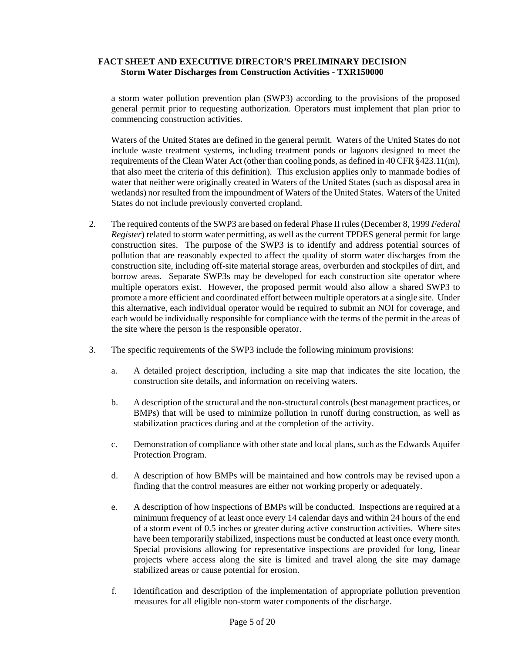a storm water pollution prevention plan (SWP3) according to the provisions of the proposed general permit prior to requesting authorization. Operators must implement that plan prior to commencing construction activities.

Waters of the United States are defined in the general permit. Waters of the United States do not include waste treatment systems, including treatment ponds or lagoons designed to meet the requirements of the Clean Water Act (other than cooling ponds, as defined in 40 CFR §423.11(m), that also meet the criteria of this definition). This exclusion applies only to manmade bodies of water that neither were originally created in Waters of the United States (such as disposal area in wetlands) nor resulted from the impoundment of Waters of the United States. Waters of the United States do not include previously converted cropland.

- 2. The required contents of the SWP3 are based on federal Phase II rules (December 8, 1999 *Federal Register*) related to storm water permitting, as well as the current TPDES general permit for large construction sites. The purpose of the SWP3 is to identify and address potential sources of pollution that are reasonably expected to affect the quality of storm water discharges from the construction site, including off-site material storage areas, overburden and stockpiles of dirt, and borrow areas. Separate SWP3s may be developed for each construction site operator where multiple operators exist. However, the proposed permit would also allow a shared SWP3 to promote a more efficient and coordinated effort between multiple operators at a single site. Under this alternative, each individual operator would be required to submit an NOI for coverage, and each would be individually responsible for compliance with the terms of the permit in the areas of the site where the person is the responsible operator.
- 3. The specific requirements of the SWP3 include the following minimum provisions:
	- a. A detailed project description, including a site map that indicates the site location, the construction site details, and information on receiving waters.
	- b. A description of the structural and the non-structural controls (best management practices, or BMPs) that will be used to minimize pollution in runoff during construction, as well as stabilization practices during and at the completion of the activity.
	- c. Demonstration of compliance with other state and local plans, such as the Edwards Aquifer Protection Program.
	- d. A description of how BMPs will be maintained and how controls may be revised upon a finding that the control measures are either not working properly or adequately.
	- e. A description of how inspections of BMPs will be conducted. Inspections are required at a minimum frequency of at least once every 14 calendar days and within 24 hours of the end of a storm event of 0.5 inches or greater during active construction activities. Where sites have been temporarily stabilized, inspections must be conducted at least once every month. Special provisions allowing for representative inspections are provided for long, linear projects where access along the site is limited and travel along the site may damage stabilized areas or cause potential for erosion.
	- f. Identification and description of the implementation of appropriate pollution prevention measures for all eligible non-storm water components of the discharge.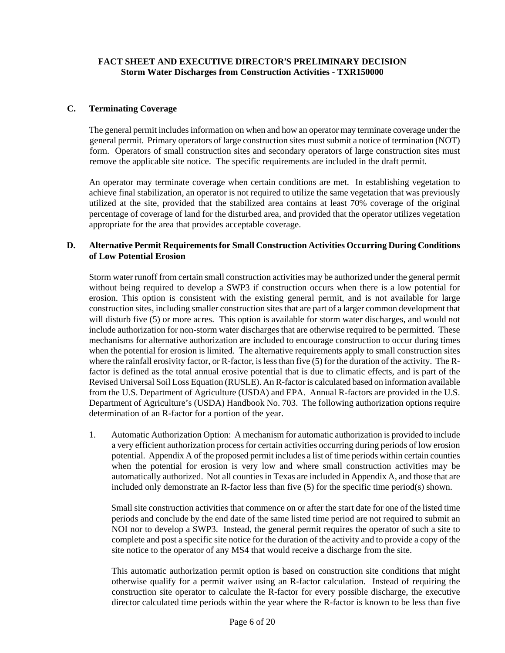### **C. Terminating Coverage**

 The general permit includes information on when and how an operator may terminate coverage under the general permit. Primary operators of large construction sites must submit a notice of termination (NOT) form. Operators of small construction sites and secondary operators of large construction sites must remove the applicable site notice. The specific requirements are included in the draft permit.

 An operator may terminate coverage when certain conditions are met. In establishing vegetation to achieve final stabilization, an operator is not required to utilize the same vegetation that was previously utilized at the site, provided that the stabilized area contains at least 70% coverage of the original percentage of coverage of land for the disturbed area, and provided that the operator utilizes vegetation appropriate for the area that provides acceptable coverage.

#### **D. Alternative Permit Requirements for Small Construction Activities Occurring During Conditions of Low Potential Erosion**

Storm water runoff from certain small construction activities may be authorized under the general permit without being required to develop a SWP3 if construction occurs when there is a low potential for erosion. This option is consistent with the existing general permit, and is not available for large construction sites, including smaller construction sites that are part of a larger common development that will disturb five (5) or more acres. This option is available for storm water discharges, and would not include authorization for non-storm water discharges that are otherwise required to be permitted. These mechanisms for alternative authorization are included to encourage construction to occur during times when the potential for erosion is limited. The alternative requirements apply to small construction sites where the rainfall erosivity factor, or R-factor, is less than five (5) for the duration of the activity. The Rfactor is defined as the total annual erosive potential that is due to climatic effects, and is part of the Revised Universal Soil Loss Equation (RUSLE). An R-factor is calculated based on information available from the U.S. Department of Agriculture (USDA) and EPA. Annual R-factors are provided in the U.S. Department of Agriculture's (USDA) Handbook No. 703. The following authorization options require determination of an R-factor for a portion of the year.

1. Automatic Authorization Option: A mechanism for automatic authorization is provided to include a very efficient authorization process for certain activities occurring during periods of low erosion potential. Appendix A of the proposed permit includes a list of time periods within certain counties when the potential for erosion is very low and where small construction activities may be automatically authorized. Not all counties in Texas are included in Appendix A, and those that are included only demonstrate an R-factor less than five (5) for the specific time period(s) shown.

 Small site construction activities that commence on or after the start date for one of the listed time periods and conclude by the end date of the same listed time period are not required to submit an NOI nor to develop a SWP3. Instead, the general permit requires the operator of such a site to complete and post a specific site notice for the duration of the activity and to provide a copy of the site notice to the operator of any MS4 that would receive a discharge from the site.

This automatic authorization permit option is based on construction site conditions that might otherwise qualify for a permit waiver using an R-factor calculation. Instead of requiring the construction site operator to calculate the R-factor for every possible discharge, the executive director calculated time periods within the year where the R-factor is known to be less than five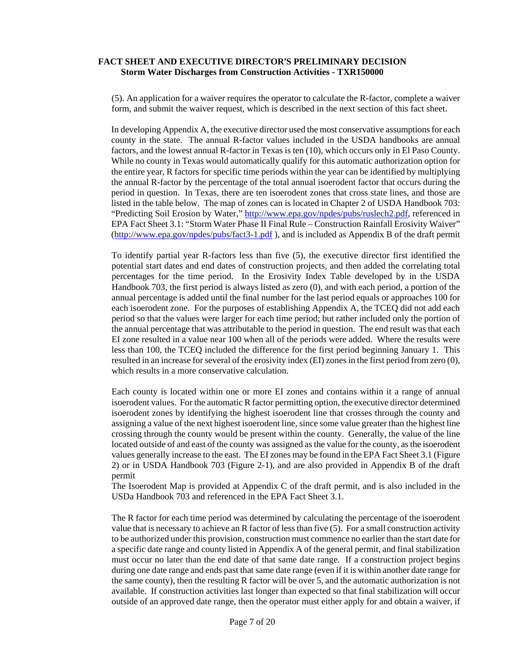(5). An application for a waiver requires the operator to calculate the R-factor, complete a waiver form, and submit the waiver request, which is described in the next section of this fact sheet.

In developing Appendix A, the executive director used the most conservative assumptions for each county in the state. The annual R-factor values included in the USDA handbooks are annual factors, and the lowest annual R-factor in Texas is ten (10), which occurs only in El Paso County. While no county in Texas would automatically qualify for this automatic authorization option for the entire year, R factors for specific time periods within the year can be identified by multiplying the annual R-factor by the percentage of the total annual isoerodent factor that occurs during the period in question. In Texas, there are ten isoerodent zones that cross state lines, and those are listed in the table below. The map of zones can is located in Chapter 2 of USDA Handbook 703: "Predicting Soil Erosion by Water," http://www.epa.gov/npdes/pubs/ruslech2.pdf, referenced in EPA Fact Sheet 3.1: "Storm Water Phase II Final Rule – Construction Rainfall Erosivity Waiver" (http://www.epa.gov/npdes/pubs/fact3-1.pdf ), and is included as Appendix B of the draft permit

To identify partial year R-factors less than five (5), the executive director first identified the potential start dates and end dates of construction projects, and then added the correlating total percentages for the time period. In the Erosivity Index Table developed by in the USDA Handbook 703, the first period is always listed as zero (0), and with each period, a portion of the annual percentage is added until the final number for the last period equals or approaches 100 for each isoerodent zone. For the purposes of establishing Appendix A, the TCEQ did not add each period so that the values were larger for each time period; but rather included only the portion of the annual percentage that was attributable to the period in question. The end result was that each EI zone resulted in a value near 100 when all of the periods were added. Where the results were less than 100, the TCEQ included the difference for the first period beginning January 1. This resulted in an increase for several of the erosivity index (EI) zones in the first period from zero (0), which results in a more conservative calculation.

Each county is located within one or more EI zones and contains within it a range of annual isoerodent values. For the automatic R factor permitting option, the executive director determined isoerodent zones by identifying the highest isoerodent line that crosses through the county and assigning a value of the next highest isoerodent line, since some value greater than the highest line crossing through the county would be present within the county. Generally, the value of the line located outside of and east of the county was assigned as the value for the county, as the isoerodent values generally increase to the east. The EI zones may be found in the EPA Fact Sheet 3.1 (Figure 2) or in USDA Handbook 703 (Figure 2-1), and are also provided in Appendix B of the draft permit

The Isoerodent Map is provided at Appendix C of the draft permit, and is also included in the USDa Handbook 703 and referenced in the EPA Fact Sheet 3.1.

The R factor for each time period was determined by calculating the percentage of the isoerodent value that is necessary to achieve an R factor of less than five (5). For a small construction activity to be authorized under this provision, construction must commence no earlier than the start date for a specific date range and county listed in Appendix A of the general permit, and final stabilization must occur no later than the end date of that same date range. If a construction project begins during one date range and ends past that same date range (even if it is within another date range for the same county), then the resulting R factor will be over 5, and the automatic authorization is not available. If construction activities last longer than expected so that final stabilization will occur outside of an approved date range, then the operator must either apply for and obtain a waiver, if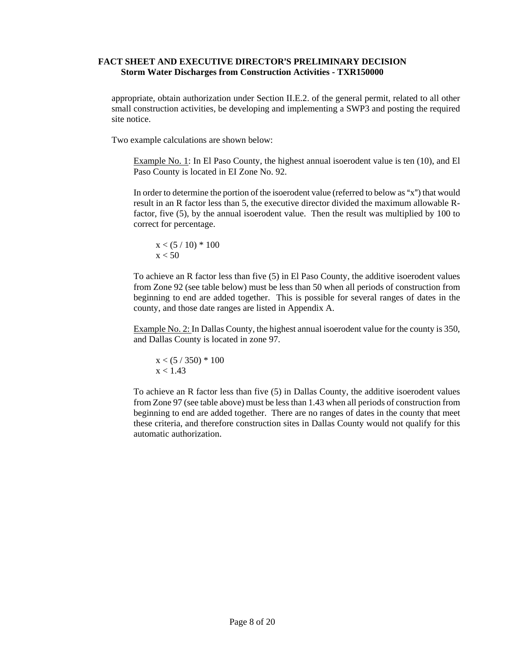appropriate, obtain authorization under Section II.E.2. of the general permit, related to all other small construction activities, be developing and implementing a SWP3 and posting the required site notice.

Two example calculations are shown below:

Example No. 1: In El Paso County, the highest annual isoerodent value is ten (10), and El Paso County is located in EI Zone No. 92.

In order to determine the portion of the isoerodent value (referred to below as " $x$ ") that would result in an R factor less than 5, the executive director divided the maximum allowable Rfactor, five (5), by the annual isoerodent value. Then the result was multiplied by 100 to correct for percentage.

$$
\begin{array}{l} x < (5 \; / \; 10) \; * \; 100 \\ x < 50 \end{array}
$$

To achieve an R factor less than five (5) in El Paso County, the additive isoerodent values from Zone 92 (see table below) must be less than 50 when all periods of construction from beginning to end are added together. This is possible for several ranges of dates in the county, and those date ranges are listed in Appendix A.

Example No. 2: In Dallas County, the highest annual isoerodent value for the county is 350, and Dallas County is located in zone 97.

$$
\begin{array}{l} x < (5 \; / \; 350) \; * \; 100 \\ x < 1.43 \end{array}
$$

To achieve an R factor less than five (5) in Dallas County, the additive isoerodent values from Zone 97 (see table above) must be less than 1.43 when all periods of construction from beginning to end are added together. There are no ranges of dates in the county that meet these criteria, and therefore construction sites in Dallas County would not qualify for this automatic authorization.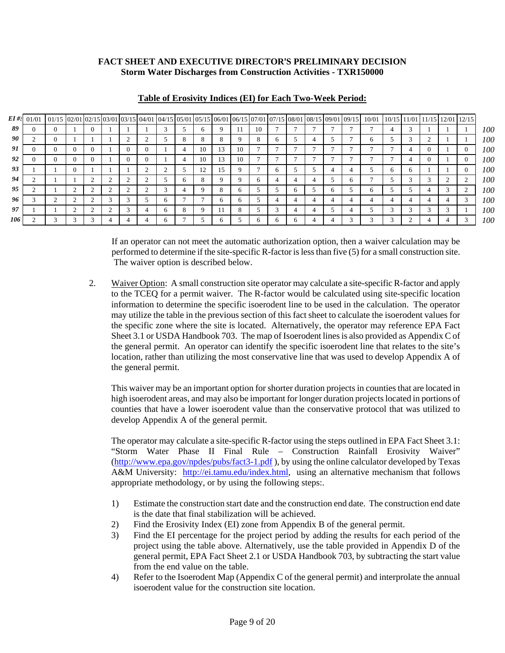| $EI \#$ : | 01/01 | 01/15 02/01 02/01 02/15 03/01 03/15 04/01 04/15 05/01 05/15 06/01 06/15 07/01 07/15 08/01 08/15 09/01 09/15 10/01 |          |              |   |          |              |   |            |    |          |              |              |          |              |              |              |              |   | 10/15 11/01 11/15 12/01 12/15 |            |
|-----------|-------|-------------------------------------------------------------------------------------------------------------------|----------|--------------|---|----------|--------------|---|------------|----|----------|--------------|--------------|----------|--------------|--------------|--------------|--------------|---|-------------------------------|------------|
| 89        | O     |                                                                                                                   |          | $\mathbf{U}$ |   |          |              |   | n          |    | -11      | 10           |              |          |              |              |              |              |   |                               | 100        |
| 90        |       |                                                                                                                   |          |              |   |          |              | 8 | Õ.         |    | 9        | 8            | $\sigma$     |          |              | <sub>(</sub> |              |              |   |                               | 100        |
| 91        |       |                                                                                                                   | $\Omega$ |              |   | $\Omega$ |              |   | 10         | 13 | 10       |              |              |          |              |              |              |              |   | $\theta$                      | <i>100</i> |
| 92        |       |                                                                                                                   | $\Omega$ | $\theta$     |   | $\theta$ |              |   | 10         | 13 | 10       |              |              |          |              |              |              | 4            | , | 0                             | 100        |
| 93        |       |                                                                                                                   | $\Omega$ |              |   |          |              |   | 12         | 15 | 9        |              | <sub>6</sub> |          |              |              | <sub>b</sub> | <sub>6</sub> |   | $\theta$                      | <i>100</i> |
| 94        |       |                                                                                                                   |          |              |   |          |              | O | $^{\circ}$ |    |          | <sup>0</sup> |              |          |              |              |              |              |   |                               | 100        |
| 95        |       |                                                                                                                   |          |              |   |          | $\sim$       |   | Q          | 8  | $\sigma$ |              |              | $\sigma$ | <sub>6</sub> | 6            |              |              |   |                               | 100        |
| 96        |       |                                                                                                                   |          |              | ◠ | $\sim$   | 6            |   |            |    | 6        |              |              | 4        |              |              |              |              |   |                               | 100        |
| 97        |       |                                                                                                                   |          |              |   |          | 6            | 8 | 9          |    | 8        |              |              | 4        |              |              |              |              |   |                               | <i>100</i> |
| 106       |       |                                                                                                                   |          |              |   |          | <sub>6</sub> |   |            |    |          | O            |              |          |              |              |              |              |   |                               | 100        |

#### **Table of Erosivity Indices (EI) for Each Two-Week Period:**

If an operator can not meet the automatic authorization option, then a waiver calculation may be performed to determine if the site-specific R-factor is less than five (5) for a small construction site. The waiver option is described below.

2. Waiver Option: A small construction site operator may calculate a site-specific R-factor and apply to the TCEQ for a permit waiver. The R-factor would be calculated using site-specific location information to determine the specific isoerodent line to be used in the calculation. The operator may utilize the table in the previous section of this fact sheet to calculate the isoerodent values for the specific zone where the site is located. Alternatively, the operator may reference EPA Fact Sheet 3.1 or USDA Handbook 703. The map of Isoerodent lines is also provided as Appendix C of the general permit. An operator can identify the specific isoerodent line that relates to the site's location, rather than utilizing the most conservative line that was used to develop Appendix A of the general permit.

 This waiver may be an important option for shorter duration projects in counties that are located in high isoerodent areas, and may also be important for longer duration projects located in portions of counties that have a lower isoerodent value than the conservative protocol that was utilized to develop Appendix A of the general permit.

 The operator may calculate a site-specific R-factor using the steps outlined in EPA Fact Sheet 3.1: "Storm Water Phase II Final Rule – Construction Rainfall Erosivity Waiver" (http://www.epa.gov/npdes/pubs/fact3-1.pdf ), by using the online calculator developed by Texas A&M University: http://ei.tamu.edu/index.html, using an alternative mechanism that follows appropriate methodology, or by using the following steps:.

- 1) Estimate the construction start date and the construction end date. The construction end date is the date that final stabilization will be achieved.
- 2) Find the Erosivity Index (EI) zone from Appendix B of the general permit.
- 3) Find the EI percentage for the project period by adding the results for each period of the project using the table above. Alternatively, use the table provided in Appendix D of the general permit, EPA Fact Sheet 2.1 or USDA Handbook 703, by subtracting the start value from the end value on the table.
- 4) Refer to the Isoerodent Map (Appendix C of the general permit) and interprolate the annual isoerodent value for the construction site location.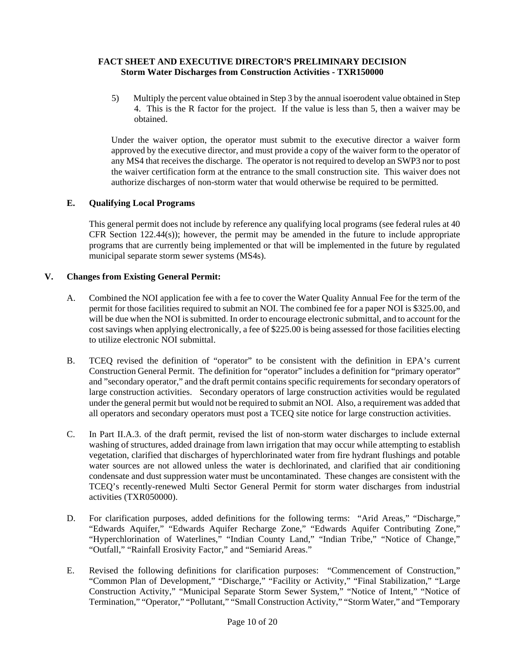5) Multiply the percent value obtained in Step 3 by the annual isoerodent value obtained in Step 4. This is the R factor for the project. If the value is less than 5, then a waiver may be obtained.

Under the waiver option, the operator must submit to the executive director a waiver form approved by the executive director, and must provide a copy of the waiver form to the operator of any MS4 that receives the discharge. The operator is not required to develop an SWP3 nor to post the waiver certification form at the entrance to the small construction site. This waiver does not authorize discharges of non-storm water that would otherwise be required to be permitted.

### **E. Qualifying Local Programs**

 This general permit does not include by reference any qualifying local programs (see federal rules at 40 CFR Section  $122.44(s)$ ; however, the permit may be amended in the future to include appropriate programs that are currently being implemented or that will be implemented in the future by regulated municipal separate storm sewer systems (MS4s).

### **V. Changes from Existing General Permit:**

- A. Combined the NOI application fee with a fee to cover the Water Quality Annual Fee for the term of the permit for those facilities required to submit an NOI. The combined fee for a paper NOI is \$325.00, and will be due when the NOI is submitted. In order to encourage electronic submittal, and to account for the cost savings when applying electronically, a fee of \$225.00 is being assessed for those facilities electing to utilize electronic NOI submittal.
- B. TCEQ revised the definition of "operator" to be consistent with the definition in EPA's current Construction General Permit. The definition for "operator" includes a definition for "primary operator" and "secondary operator," and the draft permit contains specific requirements for secondary operators of large construction activities. Secondary operators of large construction activities would be regulated under the general permit but would not be required to submit an NOI. Also, a requirement was added that all operators and secondary operators must post a TCEQ site notice for large construction activities.
- C. In Part II.A.3. of the draft permit, revised the list of non-storm water discharges to include external washing of structures, added drainage from lawn irrigation that may occur while attempting to establish vegetation, clarified that discharges of hyperchlorinated water from fire hydrant flushings and potable water sources are not allowed unless the water is dechlorinated, and clarified that air conditioning condensate and dust suppression water must be uncontaminated. These changes are consistent with the TCEQ's recently-renewed Multi Sector General Permit for storm water discharges from industrial activities (TXR050000).
- D. For clarification purposes, added definitions for the following terms: "Arid Areas," "Discharge," "Edwards Aquifer," "Edwards Aquifer Recharge Zone," "Edwards Aquifer Contributing Zone," "Hyperchlorination of Waterlines," "Indian County Land," "Indian Tribe," "Notice of Change," "Outfall," "Rainfall Erosivity Factor," and "Semiarid Areas."
- E. Revised the following definitions for clarification purposes: "Commencement of Construction," "Common Plan of Development," "Discharge," "Facility or Activity," "Final Stabilization," "Large Construction Activity," "Municipal Separate Storm Sewer System," "Notice of Intent," "Notice of Termination," "Operator," "Pollutant," "Small Construction Activity," "Storm Water," and "Temporary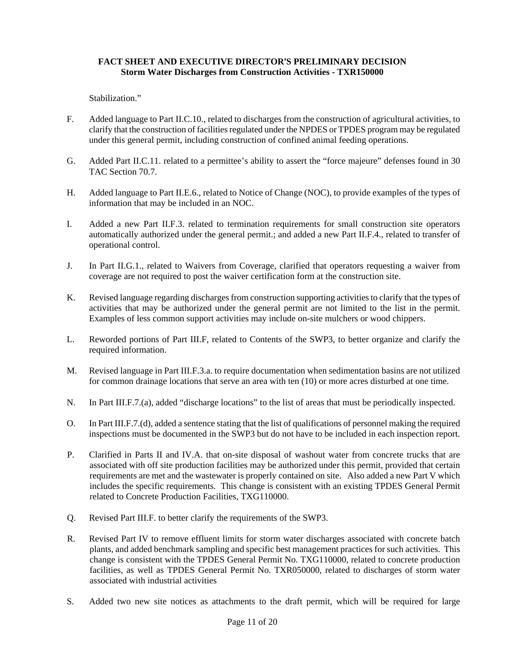Stabilization."

- F. Added language to Part II.C.10., related to discharges from the construction of agricultural activities, to clarify that the construction of facilities regulated under the NPDES or TPDES program may be regulated under this general permit, including construction of confined animal feeding operations.
- G. Added Part II.C.11. related to a permittee's ability to assert the "force majeure" defenses found in 30 TAC Section 70.7.
- H. Added language to Part II.E.6., related to Notice of Change (NOC), to provide examples of the types of information that may be included in an NOC.
- I. Added a new Part II.F.3. related to termination requirements for small construction site operators automatically authorized under the general permit.; and added a new Part II.F.4., related to transfer of operational control.
- J. In Part II.G.1., related to Waivers from Coverage, clarified that operators requesting a waiver from coverage are not required to post the waiver certification form at the construction site.
- K. Revised language regarding discharges from construction supporting activities to clarify that the types of activities that may be authorized under the general permit are not limited to the list in the permit. Examples of less common support activities may include on-site mulchers or wood chippers.
- L. Reworded portions of Part III.F, related to Contents of the SWP3, to better organize and clarify the required information.
- M. Revised language in Part III.F.3.a. to require documentation when sedimentation basins are not utilized for common drainage locations that serve an area with ten (10) or more acres disturbed at one time.
- N. In Part III.F.7.(a), added "discharge locations" to the list of areas that must be periodically inspected.
- O. In Part III.F.7.(d), added a sentence stating that the list of qualifications of personnel making the required inspections must be documented in the SWP3 but do not have to be included in each inspection report.
- P. Clarified in Parts II and IV.A. that on-site disposal of washout water from concrete trucks that are associated with off site production facilities may be authorized under this permit, provided that certain requirements are met and the wastewater is properly contained on site. Also added a new Part V which includes the specific requirements. This change is consistent with an existing TPDES General Permit related to Concrete Production Facilities, TXG110000.
- Q. Revised Part III.F. to better clarify the requirements of the SWP3.
- R. Revised Part IV to remove effluent limits for storm water discharges associated with concrete batch plants, and added benchmark sampling and specific best management practices for such activities. This change is consistent with the TPDES General Permit No. TXG110000, related to concrete production facilities, as well as TPDES General Permit No. TXR050000, related to discharges of storm water associated with industrial activities
- S. Added two new site notices as attachments to the draft permit, which will be required for large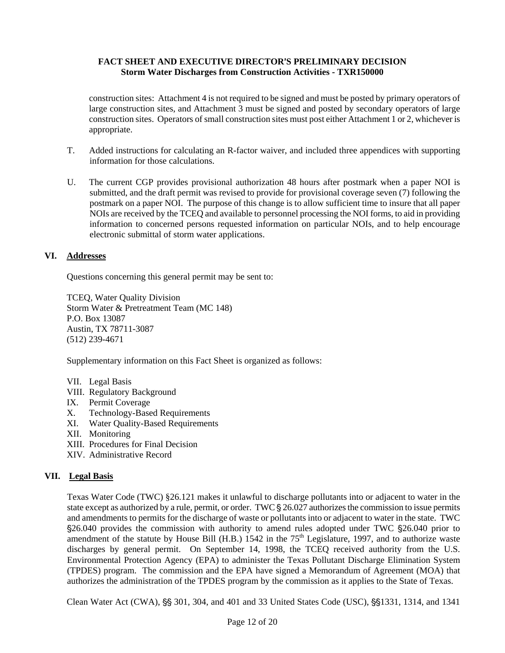construction sites: Attachment 4 is not required to be signed and must be posted by primary operators of large construction sites, and Attachment 3 must be signed and posted by secondary operators of large construction sites. Operators of small construction sites must post either Attachment 1 or 2, whichever is appropriate.

- T. Added instructions for calculating an R-factor waiver, and included three appendices with supporting information for those calculations.
- U. The current CGP provides provisional authorization 48 hours after postmark when a paper NOI is submitted, and the draft permit was revised to provide for provisional coverage seven (7) following the postmark on a paper NOI. The purpose of this change is to allow sufficient time to insure that all paper NOIs are received by the TCEQ and available to personnel processing the NOI forms, to aid in providing information to concerned persons requested information on particular NOIs, and to help encourage electronic submittal of storm water applications.

### **VI. Addresses**

Questions concerning this general permit may be sent to:

TCEQ, Water Quality Division Storm Water & Pretreatment Team (MC 148) P.O. Box 13087 Austin, TX 78711-3087 (512) 239-4671

Supplementary information on this Fact Sheet is organized as follows:

- VII. Legal Basis
- VIII. Regulatory Background
- IX. Permit Coverage
- X. Technology-Based Requirements
- XI. Water Quality-Based Requirements
- XII. Monitoring
- XIII. Procedures for Final Decision
- XIV. Administrative Record

# **VII. Legal Basis**

Texas Water Code (TWC) §26.121 makes it unlawful to discharge pollutants into or adjacent to water in the state except as authorized by a rule, permit, or order. TWC § 26.027 authorizes the commission to issue permits and amendments to permits for the discharge of waste or pollutants into or adjacent to water in the state. TWC \$26.040 provides the commission with authority to amend rules adopted under TWC \$26.040 prior to amendment of the statute by House Bill (H.B.) 1542 in the  $75<sup>th</sup>$  Legislature, 1997, and to authorize waste discharges by general permit. On September 14, 1998, the TCEQ received authority from the U.S. Environmental Protection Agency (EPA) to administer the Texas Pollutant Discharge Elimination System (TPDES) program. The commission and the EPA have signed a Memorandum of Agreement (MOA) that authorizes the administration of the TPDES program by the commission as it applies to the State of Texas.

Clean Water Act (CWA), §§ 301, 304, and 401 and 33 United States Code (USC), §§1331, 1314, and 1341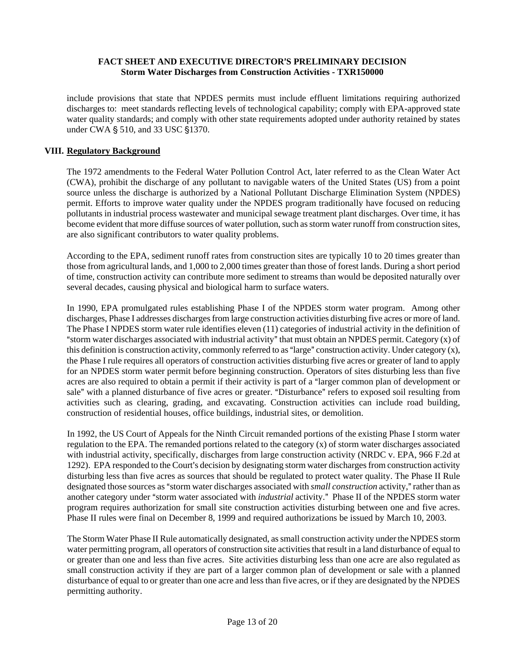include provisions that state that NPDES permits must include effluent limitations requiring authorized discharges to: meet standards reflecting levels of technological capability; comply with EPA-approved state water quality standards; and comply with other state requirements adopted under authority retained by states under CWA § 510, and 33 USC §1370.

#### **VIII. Regulatory Background**

The 1972 amendments to the Federal Water Pollution Control Act, later referred to as the Clean Water Act (CWA), prohibit the discharge of any pollutant to navigable waters of the United States (US) from a point source unless the discharge is authorized by a National Pollutant Discharge Elimination System (NPDES) permit. Efforts to improve water quality under the NPDES program traditionally have focused on reducing pollutants in industrial process wastewater and municipal sewage treatment plant discharges. Over time, it has become evident that more diffuse sources of water pollution, such as storm water runoff from construction sites, are also significant contributors to water quality problems.

According to the EPA, sediment runoff rates from construction sites are typically 10 to 20 times greater than those from agricultural lands, and 1,000 to 2,000 times greater than those of forest lands. During a short period of time, construction activity can contribute more sediment to streams than would be deposited naturally over several decades, causing physical and biological harm to surface waters.

In 1990, EPA promulgated rules establishing Phase I of the NPDES storm water program. Among other discharges, Phase I addresses discharges from large construction activities disturbing five acres or more of land. The Phase I NPDES storm water rule identifies eleven (11) categories of industrial activity in the definition of "storm water discharges associated with industrial activity" that must obtain an NPDES permit. Category (x) of this definition is construction activity, commonly referred to as "large" construction activity. Under category  $(x)$ , the Phase I rule requires all operators of construction activities disturbing five acres or greater of land to apply for an NPDES storm water permit before beginning construction. Operators of sites disturbing less than five acres are also required to obtain a permit if their activity is part of a "larger common plan of development or sale" with a planned disturbance of five acres or greater. "Disturbance" refers to exposed soil resulting from activities such as clearing, grading, and excavating. Construction activities can include road building, construction of residential houses, office buildings, industrial sites, or demolition.

In 1992, the US Court of Appeals for the Ninth Circuit remanded portions of the existing Phase I storm water regulation to the EPA. The remanded portions related to the category (x) of storm water discharges associated with industrial activity, specifically, discharges from large construction activity (NRDC v. EPA, 966 F.2d at 1292). EPA responded to the Court's decision by designating storm water discharges from construction activity disturbing less than five acres as sources that should be regulated to protect water quality. The Phase II Rule designated those sources as "storm water discharges associated with *small construction* activity," rather than as another category under "storm water associated with *industrial* activity." Phase II of the NPDES storm water program requires authorization for small site construction activities disturbing between one and five acres. Phase II rules were final on December 8, 1999 and required authorizations be issued by March 10, 2003.

The Storm Water Phase II Rule automatically designated, as small construction activity under the NPDES storm water permitting program, all operators of construction site activities that result in a land disturbance of equal to or greater than one and less than five acres. Site activities disturbing less than one acre are also regulated as small construction activity if they are part of a larger common plan of development or sale with a planned disturbance of equal to or greater than one acre and less than five acres, or if they are designated by the NPDES permitting authority.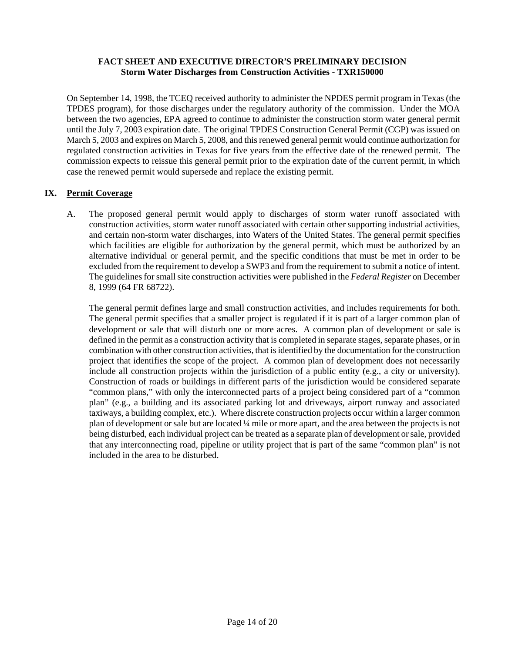On September 14, 1998, the TCEQ received authority to administer the NPDES permit program in Texas (the TPDES program), for those discharges under the regulatory authority of the commission. Under the MOA between the two agencies, EPA agreed to continue to administer the construction storm water general permit until the July 7, 2003 expiration date. The original TPDES Construction General Permit (CGP) was issued on March 5, 2003 and expires on March 5, 2008, and this renewed general permit would continue authorization for regulated construction activities in Texas for five years from the effective date of the renewed permit. The commission expects to reissue this general permit prior to the expiration date of the current permit, in which case the renewed permit would supersede and replace the existing permit.

# **IX. Permit Coverage**

A. The proposed general permit would apply to discharges of storm water runoff associated with construction activities, storm water runoff associated with certain other supporting industrial activities, and certain non-storm water discharges, into Waters of the United States. The general permit specifies which facilities are eligible for authorization by the general permit, which must be authorized by an alternative individual or general permit, and the specific conditions that must be met in order to be excluded from the requirement to develop a SWP3 and from the requirement to submit a notice of intent. The guidelines for small site construction activities were published in the *Federal Register* on December 8, 1999 (64 FR 68722).

The general permit defines large and small construction activities, and includes requirements for both. The general permit specifies that a smaller project is regulated if it is part of a larger common plan of development or sale that will disturb one or more acres. A common plan of development or sale is defined in the permit as a construction activity that is completed in separate stages, separate phases, or in combination with other construction activities, that is identified by the documentation for the construction project that identifies the scope of the project. A common plan of development does not necessarily include all construction projects within the jurisdiction of a public entity (e.g., a city or university). Construction of roads or buildings in different parts of the jurisdiction would be considered separate "common plans," with only the interconnected parts of a project being considered part of a "common plan" (e.g., a building and its associated parking lot and driveways, airport runway and associated taxiways, a building complex, etc.). Where discrete construction projects occur within a larger common plan of development or sale but are located ¼ mile or more apart, and the area between the projects is not being disturbed, each individual project can be treated as a separate plan of development or sale, provided that any interconnecting road, pipeline or utility project that is part of the same "common plan" is not included in the area to be disturbed.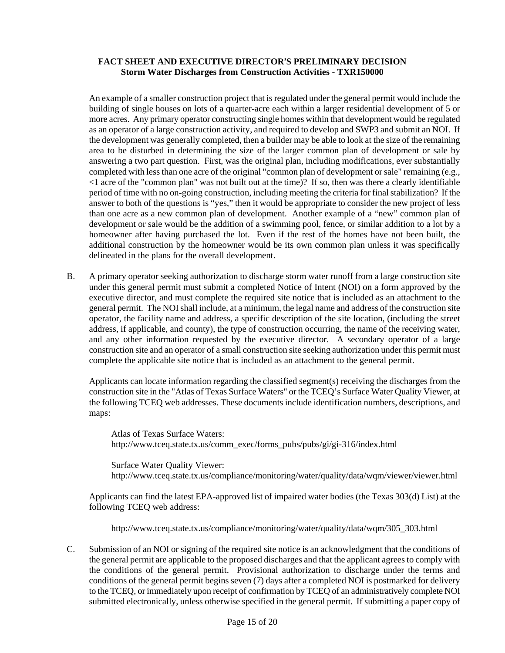An example of a smaller construction project that is regulated under the general permit would include the building of single houses on lots of a quarter-acre each within a larger residential development of 5 or more acres. Any primary operator constructing single homes within that development would be regulated as an operator of a large construction activity, and required to develop and SWP3 and submit an NOI. If the development was generally completed, then a builder may be able to look at the size of the remaining area to be disturbed in determining the size of the larger common plan of development or sale by answering a two part question. First, was the original plan, including modifications, ever substantially completed with less than one acre of the original "common plan of development or sale" remaining (e.g., <1 acre of the "common plan" was not built out at the time)? If so, then was there a clearly identifiable period of time with no on-going construction, including meeting the criteria for final stabilization? If the answer to both of the questions is "yes," then it would be appropriate to consider the new project of less than one acre as a new common plan of development. Another example of a "new" common plan of development or sale would be the addition of a swimming pool, fence, or similar addition to a lot by a homeowner after having purchased the lot. Even if the rest of the homes have not been built, the additional construction by the homeowner would be its own common plan unless it was specifically delineated in the plans for the overall development.

B. A primary operator seeking authorization to discharge storm water runoff from a large construction site under this general permit must submit a completed Notice of Intent (NOI) on a form approved by the executive director, and must complete the required site notice that is included as an attachment to the general permit. The NOI shall include, at a minimum, the legal name and address of the construction site operator, the facility name and address, a specific description of the site location, (including the street address, if applicable, and county), the type of construction occurring, the name of the receiving water, and any other information requested by the executive director. A secondary operator of a large construction site and an operator of a small construction site seeking authorization under this permit must complete the applicable site notice that is included as an attachment to the general permit.

 Applicants can locate information regarding the classified segment(s) receiving the discharges from the construction site in the "Atlas of Texas Surface Waters" or the TCEQ's Surface Water Quality Viewer, at the following TCEQ web addresses. These documents include identification numbers, descriptions, and maps:

Atlas of Texas Surface Waters: http://www.tceq.state.tx.us/comm\_exec/forms\_pubs/pubs/gi/gi-316/index.html

Surface Water Quality Viewer: http://www.tceq.state.tx.us/compliance/monitoring/water/quality/data/wqm/viewer/viewer.html

Applicants can find the latest EPA-approved list of impaired water bodies (the Texas 303(d) List) at the following TCEQ web address:

http://www.tceq.state.tx.us/compliance/monitoring/water/quality/data/wqm/305\_303.html

C. Submission of an NOI or signing of the required site notice is an acknowledgment that the conditions of the general permit are applicable to the proposed discharges and that the applicant agrees to comply with the conditions of the general permit. Provisional authorization to discharge under the terms and conditions of the general permit begins seven (7) days after a completed NOI is postmarked for delivery to the TCEQ, or immediately upon receipt of confirmation by TCEQ of an administratively complete NOI submitted electronically, unless otherwise specified in the general permit. If submitting a paper copy of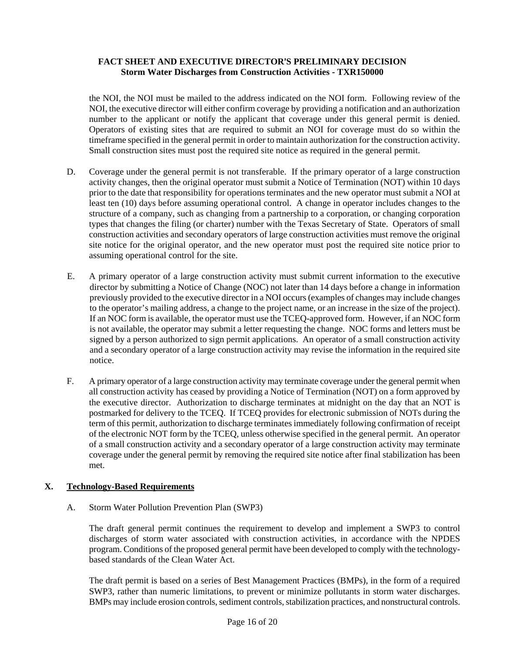the NOI, the NOI must be mailed to the address indicated on the NOI form. Following review of the NOI, the executive director will either confirm coverage by providing a notification and an authorization number to the applicant or notify the applicant that coverage under this general permit is denied. Operators of existing sites that are required to submit an NOI for coverage must do so within the timeframe specified in the general permit in order to maintain authorization for the construction activity. Small construction sites must post the required site notice as required in the general permit.

- D. Coverage under the general permit is not transferable. If the primary operator of a large construction activity changes, then the original operator must submit a Notice of Termination (NOT) within 10 days prior to the date that responsibility for operations terminates and the new operator must submit a NOI at least ten (10) days before assuming operational control. A change in operator includes changes to the structure of a company, such as changing from a partnership to a corporation, or changing corporation types that changes the filing (or charter) number with the Texas Secretary of State. Operators of small construction activities and secondary operators of large construction activities must remove the original site notice for the original operator, and the new operator must post the required site notice prior to assuming operational control for the site.
- E. A primary operator of a large construction activity must submit current information to the executive director by submitting a Notice of Change (NOC) not later than 14 days before a change in information previously provided to the executive director in a NOI occurs (examples of changes may include changes to the operator's mailing address, a change to the project name, or an increase in the size of the project). If an NOC form is available, the operator must use the TCEQ-approved form. However, if an NOC form is not available, the operator may submit a letter requesting the change. NOC forms and letters must be signed by a person authorized to sign permit applications. An operator of a small construction activity and a secondary operator of a large construction activity may revise the information in the required site notice.
- F. A primary operator of a large construction activity may terminate coverage under the general permit when all construction activity has ceased by providing a Notice of Termination (NOT) on a form approved by the executive director. Authorization to discharge terminates at midnight on the day that an NOT is postmarked for delivery to the TCEQ. If TCEQ provides for electronic submission of NOTs during the term of this permit, authorization to discharge terminates immediately following confirmation of receipt of the electronic NOT form by the TCEQ, unless otherwise specified in the general permit. An operator of a small construction activity and a secondary operator of a large construction activity may terminate coverage under the general permit by removing the required site notice after final stabilization has been met.

# **X. Technology-Based Requirements**

A. Storm Water Pollution Prevention Plan (SWP3)

The draft general permit continues the requirement to develop and implement a SWP3 to control discharges of storm water associated with construction activities, in accordance with the NPDES program. Conditions of the proposed general permit have been developed to comply with the technologybased standards of the Clean Water Act.

The draft permit is based on a series of Best Management Practices (BMPs), in the form of a required SWP3, rather than numeric limitations, to prevent or minimize pollutants in storm water discharges. BMPs may include erosion controls, sediment controls, stabilization practices, and nonstructural controls.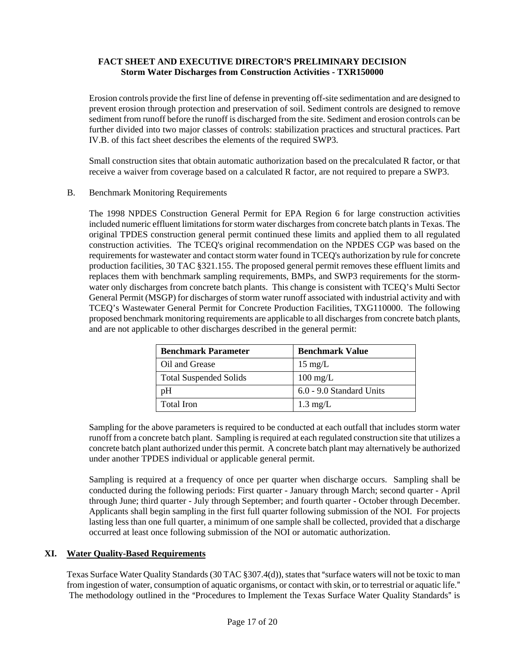Erosion controls provide the first line of defense in preventing off-site sedimentation and are designed to prevent erosion through protection and preservation of soil. Sediment controls are designed to remove sediment from runoff before the runoff is discharged from the site. Sediment and erosion controls can be further divided into two major classes of controls: stabilization practices and structural practices. Part IV.B. of this fact sheet describes the elements of the required SWP3.

Small construction sites that obtain automatic authorization based on the precalculated R factor, or that receive a waiver from coverage based on a calculated R factor, are not required to prepare a SWP3.

#### B. Benchmark Monitoring Requirements

The 1998 NPDES Construction General Permit for EPA Region 6 for large construction activities included numeric effluent limitations for storm water discharges from concrete batch plants in Texas. The original TPDES construction general permit continued these limits and applied them to all regulated construction activities. The TCEQ's original recommendation on the NPDES CGP was based on the requirements for wastewater and contact storm water found in TCEQ's authorization by rule for concrete production facilities, 30 TAC §321.155. The proposed general permit removes these effluent limits and replaces them with benchmark sampling requirements, BMPs, and SWP3 requirements for the stormwater only discharges from concrete batch plants. This change is consistent with TCEQ's Multi Sector General Permit (MSGP) for discharges of storm water runoff associated with industrial activity and with TCEQ's Wastewater General Permit for Concrete Production Facilities, TXG110000. The following proposed benchmark monitoring requirements are applicable to all discharges from concrete batch plants, and are not applicable to other discharges described in the general permit:

| <b>Benchmark Parameter</b>    | <b>Benchmark Value</b>   |  |  |  |  |  |  |
|-------------------------------|--------------------------|--|--|--|--|--|--|
| Oil and Grease                | $15 \text{ mg/L}$        |  |  |  |  |  |  |
| <b>Total Suspended Solids</b> | $100 \text{ mg/L}$       |  |  |  |  |  |  |
| pΗ                            | 6.0 - 9.0 Standard Units |  |  |  |  |  |  |
| Total Iron                    | $1.3 \text{ mg/L}$       |  |  |  |  |  |  |

Sampling for the above parameters is required to be conducted at each outfall that includes storm water runoff from a concrete batch plant. Sampling is required at each regulated construction site that utilizes a concrete batch plant authorized under this permit. A concrete batch plant may alternatively be authorized under another TPDES individual or applicable general permit.

Sampling is required at a frequency of once per quarter when discharge occurs. Sampling shall be conducted during the following periods: First quarter - January through March; second quarter - April through June; third quarter - July through September; and fourth quarter - October through December. Applicants shall begin sampling in the first full quarter following submission of the NOI. For projects lasting less than one full quarter, a minimum of one sample shall be collected, provided that a discharge occurred at least once following submission of the NOI or automatic authorization.

# **XI. Water Quality-Based Requirements**

Texas Surface Water Quality Standards (30 TAC  $\S 307.4(d)$ ), states that "surface waters will not be toxic to man from ingestion of water, consumption of aquatic organisms, or contact with skin, or to terrestrial or aquatic life." The methodology outlined in the "Procedures to Implement the Texas Surface Water Quality Standards" is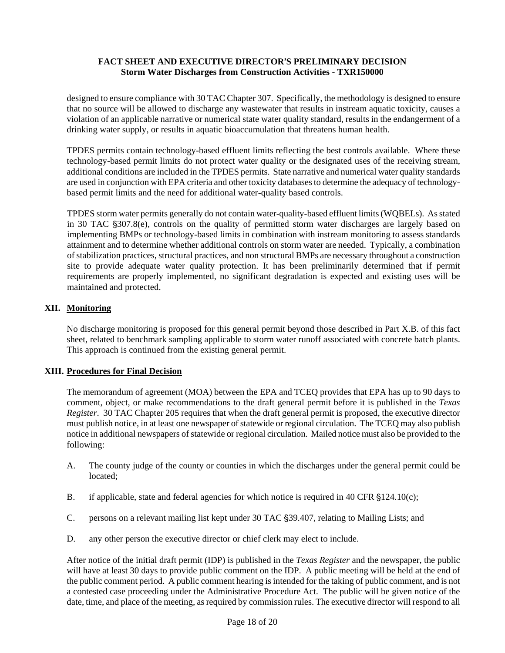designed to ensure compliance with 30 TAC Chapter 307. Specifically, the methodology is designed to ensure that no source will be allowed to discharge any wastewater that results in instream aquatic toxicity, causes a violation of an applicable narrative or numerical state water quality standard, results in the endangerment of a drinking water supply, or results in aquatic bioaccumulation that threatens human health.

TPDES permits contain technology-based effluent limits reflecting the best controls available. Where these technology-based permit limits do not protect water quality or the designated uses of the receiving stream, additional conditions are included in the TPDES permits. State narrative and numerical water quality standards are used in conjunction with EPA criteria and other toxicity databases to determine the adequacy of technologybased permit limits and the need for additional water-quality based controls.

TPDES storm water permits generally do not contain water-quality-based effluent limits (WQBELs). As stated in 30 TAC  $\S 307.8$ (e), controls on the quality of permitted storm water discharges are largely based on implementing BMPs or technology-based limits in combination with instream monitoring to assess standards attainment and to determine whether additional controls on storm water are needed. Typically, a combination of stabilization practices, structural practices, and non structural BMPs are necessary throughout a construction site to provide adequate water quality protection. It has been preliminarily determined that if permit requirements are properly implemented, no significant degradation is expected and existing uses will be maintained and protected.

# **XII. Monitoring**

No discharge monitoring is proposed for this general permit beyond those described in Part X.B. of this fact sheet, related to benchmark sampling applicable to storm water runoff associated with concrete batch plants. This approach is continued from the existing general permit.

# **XIII. Procedures for Final Decision**

The memorandum of agreement (MOA) between the EPA and TCEQ provides that EPA has up to 90 days to comment, object, or make recommendations to the draft general permit before it is published in the *Texas Register*. 30 TAC Chapter 205 requires that when the draft general permit is proposed, the executive director must publish notice, in at least one newspaper of statewide or regional circulation. The TCEQ may also publish notice in additional newspapers of statewide or regional circulation. Mailed notice must also be provided to the following:

- A. The county judge of the county or counties in which the discharges under the general permit could be located;
- B. if applicable, state and federal agencies for which notice is required in 40 CFR  $$124.10(c)$ ;
- C. persons on a relevant mailing list kept under 30 TAC \$39.407, relating to Mailing Lists; and
- D. any other person the executive director or chief clerk may elect to include.

After notice of the initial draft permit (IDP) is published in the *Texas Register* and the newspaper, the public will have at least 30 days to provide public comment on the IDP. A public meeting will be held at the end of the public comment period. A public comment hearing is intended for the taking of public comment, and is not a contested case proceeding under the Administrative Procedure Act. The public will be given notice of the date, time, and place of the meeting, as required by commission rules. The executive director will respond to all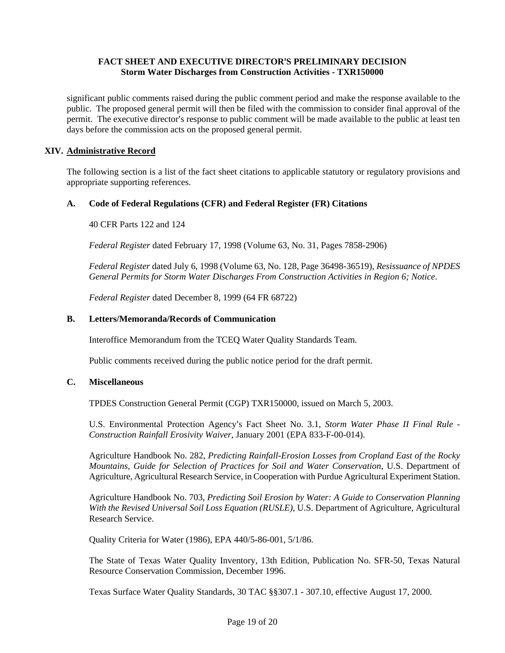significant public comments raised during the public comment period and make the response available to the public. The proposed general permit will then be filed with the commission to consider final approval of the permit. The executive director's response to public comment will be made available to the public at least ten days before the commission acts on the proposed general permit.

### **XIV. Administrative Record**

The following section is a list of the fact sheet citations to applicable statutory or regulatory provisions and appropriate supporting references.

### **A. Code of Federal Regulations (CFR) and Federal Register (FR) Citations**

40 CFR Parts 122 and 124

*Federal Register* dated February 17, 1998 (Volume 63, No. 31, Pages 7858-2906)

*Federal Register* dated July 6, 1998 (Volume 63, No. 128, Page 36498-36519), *Resissuance of NPDES General Permits for Storm Water Discharges From Construction Activities in Region 6; Notice*.

*Federal Register* dated December 8, 1999 (64 FR 68722)

### **B. Letters/Memoranda/Records of Communication**

Interoffice Memorandum from the TCEQ Water Quality Standards Team.

Public comments received during the public notice period for the draft permit.

#### **C. Miscellaneous**

TPDES Construction General Permit (CGP) TXR150000, issued on March 5, 2003.

U.S. Environmental Protection Agency's Fact Sheet No. 3.1, *Storm Water Phase II Final Rule -Construction Rainfall Erosivity Waiver*, January 2001 (EPA 833-F-00-014).

Agriculture Handbook No. 282, *Predicting Rainfall-Erosion Losses from Cropland East of the Rocky Mountains, Guide for Selection of Practices for Soil and Water Conservation*, U.S. Department of Agriculture, Agricultural Research Service, in Cooperation with Purdue Agricultural Experiment Station.

Agriculture Handbook No. 703, *Predicting Soil Erosion by Water: A Guide to Conservation Planning With the Revised Universal Soil Loss Equation (RUSLE)*, U.S. Department of Agriculture, Agricultural Research Service.

Quality Criteria for Water (1986), EPA 440/5-86-001, 5/1/86.

The State of Texas Water Quality Inventory, 13th Edition, Publication No. SFR-50, Texas Natural Resource Conservation Commission, December 1996.

Texas Surface Water Quality Standards, 30 TAC §§307.1 - 307.10, effective August 17, 2000.